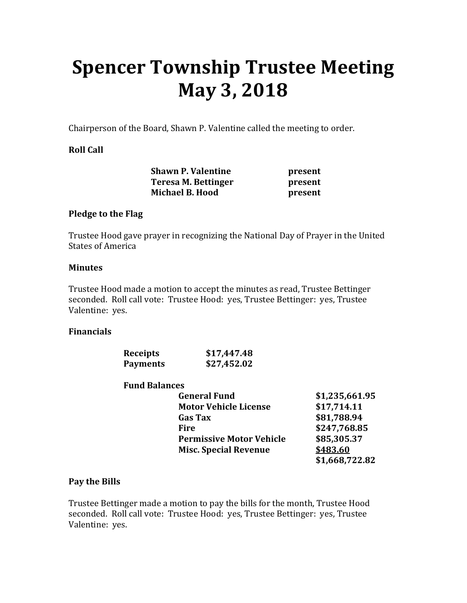# **Spencer Township Trustee Meeting May 3, 2018**

Chairperson of the Board, Shawn P. Valentine called the meeting to order.

# **Roll Call**

|                        | <b>Shawn P. Valentine</b> | present |
|------------------------|---------------------------|---------|
|                        | Teresa M. Bettinger       | present |
| <b>Michael B. Hood</b> |                           | present |

#### **Pledge to the Flag**

Trustee Hood gave prayer in recognizing the National Day of Prayer in the United States of America

#### **Minutes**

Trustee Hood made a motion to accept the minutes as read, Trustee Bettinger seconded. Roll call vote: Trustee Hood: yes, Trustee Bettinger: yes, Trustee Valentine: yes.

#### **Financials**

| <b>Receipts</b> | \$17,447.48 |
|-----------------|-------------|
| <b>Payments</b> | \$27,452.02 |

#### **Fund Balances**

| <b>General Fund</b>             | \$1,235,661.95 |
|---------------------------------|----------------|
| <b>Motor Vehicle License</b>    | \$17,714.11    |
| <b>Gas Tax</b>                  | \$81,788.94    |
| Fire                            | \$247,768.85   |
| <b>Permissive Motor Vehicle</b> | \$85,305.37    |
| <b>Misc. Special Revenue</b>    | \$483.60       |
|                                 | \$1,668,722.82 |

## **Pay the Bills**

Trustee Bettinger made a motion to pay the bills for the month, Trustee Hood seconded. Roll call vote: Trustee Hood: yes, Trustee Bettinger: yes, Trustee Valentine: yes.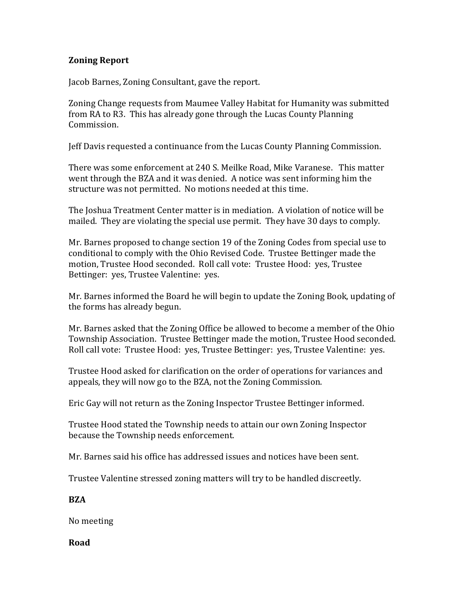# **Zoning Report**

Jacob Barnes, Zoning Consultant, gave the report.

Zoning Change requests from Maumee Valley Habitat for Humanity was submitted from RA to R3. This has already gone through the Lucas County Planning Commission.

Jeff Davis requested a continuance from the Lucas County Planning Commission.

There was some enforcement at 240 S. Meilke Road, Mike Varanese. This matter went through the BZA and it was denied. A notice was sent informing him the structure was not permitted. No motions needed at this time.

The Joshua Treatment Center matter is in mediation. A violation of notice will be mailed. They are violating the special use permit. They have 30 days to comply.

Mr. Barnes proposed to change section 19 of the Zoning Codes from special use to conditional to comply with the Ohio Revised Code. Trustee Bettinger made the motion, Trustee Hood seconded. Roll call vote: Trustee Hood: yes, Trustee Bettinger: yes, Trustee Valentine: yes.

Mr. Barnes informed the Board he will begin to update the Zoning Book, updating of the forms has already begun.

Mr. Barnes asked that the Zoning Office be allowed to become a member of the Ohio Township Association. Trustee Bettinger made the motion, Trustee Hood seconded. Roll call vote: Trustee Hood: yes, Trustee Bettinger: yes, Trustee Valentine: yes.

Trustee Hood asked for clarification on the order of operations for variances and appeals, they will now go to the BZA, not the Zoning Commission.

Eric Gay will not return as the Zoning Inspector Trustee Bettinger informed.

Trustee Hood stated the Township needs to attain our own Zoning Inspector because the Township needs enforcement.

Mr. Barnes said his office has addressed issues and notices have been sent.

Trustee Valentine stressed zoning matters will try to be handled discreetly.

**BZA** 

No meeting

**Road**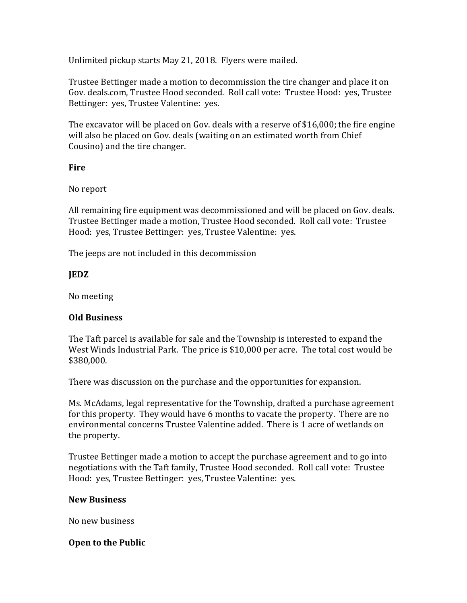Unlimited pickup starts May 21, 2018. Flyers were mailed.

Trustee Bettinger made a motion to decommission the tire changer and place it on Gov. deals.com, Trustee Hood seconded. Roll call vote: Trustee Hood: yes, Trustee Bettinger: yes, Trustee Valentine: yes.

The excavator will be placed on Gov. deals with a reserve of \$16,000; the fire engine will also be placed on Gov. deals (waiting on an estimated worth from Chief Cousino) and the tire changer.

## **Fire**

No report

All remaining fire equipment was decommissioned and will be placed on Gov. deals. Trustee Bettinger made a motion, Trustee Hood seconded. Roll call vote: Trustee Hood: yes, Trustee Bettinger: yes, Trustee Valentine: yes.

The jeeps are not included in this decommission

# **JEDZ**

No meeting

# **Old Business**

The Taft parcel is available for sale and the Township is interested to expand the West Winds Industrial Park. The price is \$10,000 per acre. The total cost would be \$380,000.

There was discussion on the purchase and the opportunities for expansion.

Ms. McAdams, legal representative for the Township, drafted a purchase agreement for this property. They would have 6 months to vacate the property. There are no environmental concerns Trustee Valentine added. There is 1 acre of wetlands on the property.

Trustee Bettinger made a motion to accept the purchase agreement and to go into negotiations with the Taft family, Trustee Hood seconded. Roll call vote: Trustee Hood: yes, Trustee Bettinger: yes, Trustee Valentine: yes.

## **New Business**

No new business

## **Open to the Public**